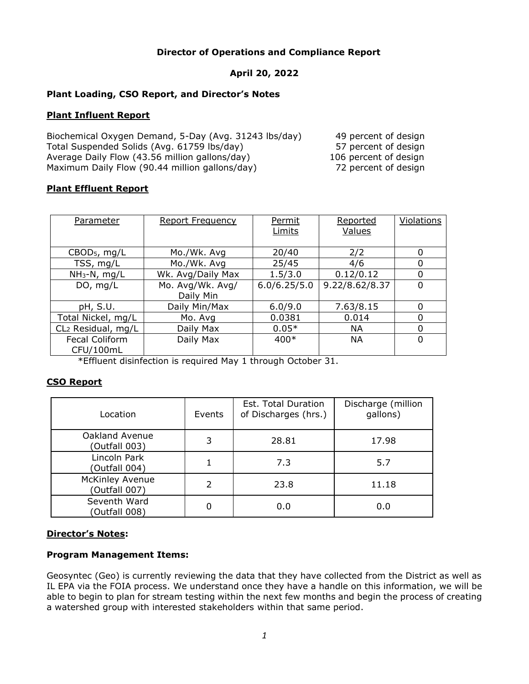## **Director of Operations and Compliance Report**

## **April 20, 2022**

### **Plant Loading, CSO Report, and Director's Notes**

### **Plant Influent Report**

| Biochemical Oxygen Demand, 5-Day (Avg. 31243 lbs/day) | 49 percent of design  |
|-------------------------------------------------------|-----------------------|
| Total Suspended Solids (Avg. 61759 lbs/day)           | 57 percent of design  |
| Average Daily Flow (43.56 million gallons/day)        | 106 percent of design |
| Maximum Daily Flow (90.44 million gallons/day)        | 72 percent of design  |

### **Plant Effluent Report**

| Parameter                | <b>Report Frequency</b> | Permit<br>Limits | Reported<br>Values | Violations |
|--------------------------|-------------------------|------------------|--------------------|------------|
|                          |                         |                  |                    |            |
| CBOD <sub>5</sub> , mg/L | Mo./Wk. Avg             | 20/40            | 2/2                | $\Omega$   |
| TSS, mg/L                | Mo./Wk. Avg             | 25/45            | 4/6                | 0          |
| $NH_3-N$ , mg/L          | Wk. Avg/Daily Max       | 1.5/3.0          | 0.12/0.12          | 0          |
| DO, mg/L                 | Mo. Avg/Wk. Avg/        | 6.0/6.25/5.0     | 9.22/8.62/8.37     | 0          |
|                          | Daily Min               |                  |                    |            |
| pH, S.U.                 | Daily Min/Max           | 6.0/9.0          | 7.63/8.15          | 0          |
| Total Nickel, mg/L       | Mo. Avg                 | 0.0381           | 0.014              | 0          |
| CL2 Residual, mg/L       | Daily Max               | $0.05*$          | <b>NA</b>          | $\Omega$   |
| Fecal Coliform           | Daily Max               | 400*             | <b>NA</b>          | 0          |
| CFU/100mL                |                         |                  |                    |            |

\*Effluent disinfection is required May 1 through October 31.

### **CSO Report**

| Location                                | Events | Est. Total Duration<br>of Discharges (hrs.) | Discharge (million<br>gallons) |
|-----------------------------------------|--------|---------------------------------------------|--------------------------------|
| Oakland Avenue<br>(Outfall 003)         | 3      | 28.81                                       | 17.98                          |
| Lincoln Park<br>(Outfall 004)           |        | 7.3                                         | 5.7                            |
| <b>McKinley Avenue</b><br>(Outfall 007) |        | 23.8                                        | 11.18                          |
| Seventh Ward<br>(Outfall 008)           |        | 0.0                                         | 0.0                            |

### **Director's Notes:**

### **Program Management Items:**

Geosyntec (Geo) is currently reviewing the data that they have collected from the District as well as IL EPA via the FOIA process. We understand once they have a handle on this information, we will be able to begin to plan for stream testing within the next few months and begin the process of creating a watershed group with interested stakeholders within that same period.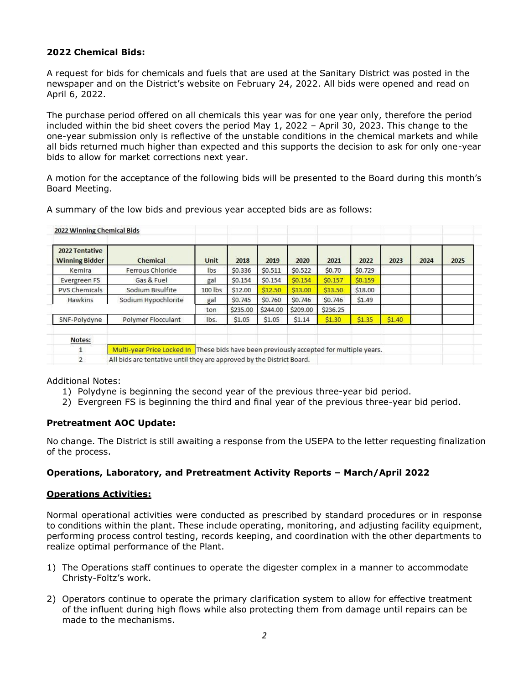## **2022 Chemical Bids:**

A request for bids for chemicals and fuels that are used at the Sanitary District was posted in the newspaper and on the District's website on February 24, 2022. All bids were opened and read on April 6, 2022.

The purchase period offered on all chemicals this year was for one year only, therefore the period included within the bid sheet covers the period May 1, 2022 – April 30, 2023. This change to the one-year submission only is reflective of the unstable conditions in the chemical markets and while all bids returned much higher than expected and this supports the decision to ask for only one-year bids to allow for market corrections next year.

A motion for the acceptance of the following bids will be presented to the Board during this month's Board Meeting.

| 2022 Winning Chemical Bids              |                                                                       |                                                                                         |          |          |               |              |         |        |      |      |
|-----------------------------------------|-----------------------------------------------------------------------|-----------------------------------------------------------------------------------------|----------|----------|---------------|--------------|---------|--------|------|------|
| 2022 Tentative<br><b>Winning Bidder</b> | Chemical                                                              | Unit                                                                                    | 2018     | 2019     | 2020          | 2021         | 2022    | 2023   | 2024 | 2025 |
| Kemira                                  | Ferrous Chloride                                                      | lbs                                                                                     | \$0,336  | \$0.511  | <b>SO.522</b> | <b>S0.70</b> | \$0.729 |        |      |      |
| Evergreen FS                            | Gas & Fuel                                                            | gal                                                                                     | \$0.154  | \$0.154  | \$0.154       | \$0.157      | \$0.159 |        |      |      |
| <b>PVS Chemicals</b>                    | Sodium Bisulfite                                                      | 100 lbs                                                                                 | \$12.00  | \$12.50  | \$13.00       | \$13.50      | \$18.00 |        |      |      |
| Hawkins                                 | Sodium Hypochlorite                                                   | gal                                                                                     | \$0,745  | \$0.760  | <b>SO.746</b> | \$0,746      | \$1.49  |        |      |      |
|                                         |                                                                       | ton                                                                                     | \$235.00 | \$244.00 | \$209.00      | \$236.25     |         |        |      |      |
| SNF-Polydyne                            | Polymer Flocculant                                                    | lbs.                                                                                    | \$1.05   | \$1.05   | \$1.14        | \$1.30       | \$1.35  | \$1.40 |      |      |
| Notes:                                  |                                                                       |                                                                                         |          |          |               |              |         |        |      |      |
|                                         |                                                                       | Multi-year Price Locked In These bids have been previously accepted for multiple years. |          |          |               |              |         |        |      |      |
| $\overline{2}$                          | All bids are tentative until they are approved by the District Board. |                                                                                         |          |          |               |              |         |        |      |      |

A summary of the low bids and previous year accepted bids are as follows:

### Additional Notes:

- 1) Polydyne is beginning the second year of the previous three-year bid period.
- 2) Evergreen FS is beginning the third and final year of the previous three-year bid period.

### **Pretreatment AOC Update:**

No change. The District is still awaiting a response from the USEPA to the letter requesting finalization of the process.

### **Operations, Laboratory, and Pretreatment Activity Reports – March/April 2022**

### **Operations Activities:**

Normal operational activities were conducted as prescribed by standard procedures or in response to conditions within the plant. These include operating, monitoring, and adjusting facility equipment, performing process control testing, records keeping, and coordination with the other departments to realize optimal performance of the Plant.

- 1) The Operations staff continues to operate the digester complex in a manner to accommodate Christy-Foltz's work.
- 2) Operators continue to operate the primary clarification system to allow for effective treatment of the influent during high flows while also protecting them from damage until repairs can be made to the mechanisms.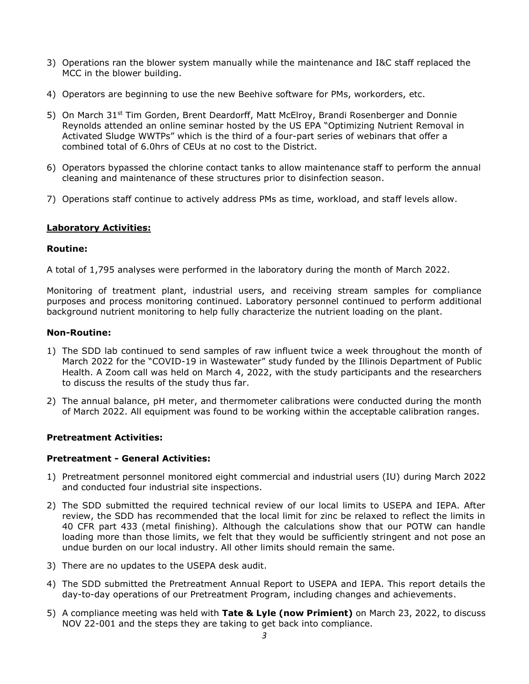- 3) Operations ran the blower system manually while the maintenance and I&C staff replaced the MCC in the blower building.
- 4) Operators are beginning to use the new Beehive software for PMs, workorders, etc.
- 5) On March 31<sup>st</sup> Tim Gorden, Brent Deardorff, Matt McElroy, Brandi Rosenberger and Donnie Reynolds attended an online seminar hosted by the US EPA "Optimizing Nutrient Removal in Activated Sludge WWTPs" which is the third of a four-part series of webinars that offer a combined total of 6.0hrs of CEUs at no cost to the District.
- 6) Operators bypassed the chlorine contact tanks to allow maintenance staff to perform the annual cleaning and maintenance of these structures prior to disinfection season.
- 7) Operations staff continue to actively address PMs as time, workload, and staff levels allow.

### **Laboratory Activities:**

### **Routine:**

A total of 1,795 analyses were performed in the laboratory during the month of March 2022.

Monitoring of treatment plant, industrial users, and receiving stream samples for compliance purposes and process monitoring continued. Laboratory personnel continued to perform additional background nutrient monitoring to help fully characterize the nutrient loading on the plant.

### **Non-Routine:**

- 1) The SDD lab continued to send samples of raw influent twice a week throughout the month of March 2022 for the "COVID-19 in Wastewater" study funded by the Illinois Department of Public Health. A Zoom call was held on March 4, 2022, with the study participants and the researchers to discuss the results of the study thus far.
- 2) The annual balance, pH meter, and thermometer calibrations were conducted during the month of March 2022. All equipment was found to be working within the acceptable calibration ranges.

### **Pretreatment Activities:**

### **Pretreatment - General Activities:**

- 1) Pretreatment personnel monitored eight commercial and industrial users (IU) during March 2022 and conducted four industrial site inspections.
- 2) The SDD submitted the required technical review of our local limits to USEPA and IEPA. After review, the SDD has recommended that the local limit for zinc be relaxed to reflect the limits in 40 CFR part 433 (metal finishing). Although the calculations show that our POTW can handle loading more than those limits, we felt that they would be sufficiently stringent and not pose an undue burden on our local industry. All other limits should remain the same.
- 3) There are no updates to the USEPA desk audit.
- 4) The SDD submitted the Pretreatment Annual Report to USEPA and IEPA. This report details the day-to-day operations of our Pretreatment Program, including changes and achievements.
- 5) A compliance meeting was held with **Tate & Lyle (now Primient)** on March 23, 2022, to discuss NOV 22-001 and the steps they are taking to get back into compliance.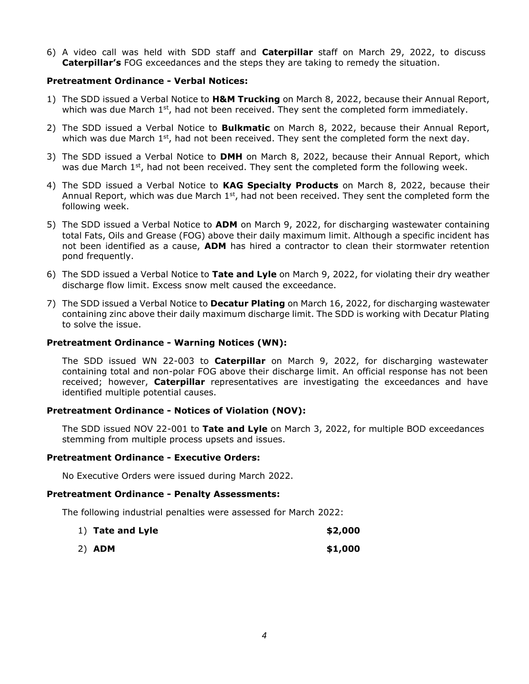6) A video call was held with SDD staff and **Caterpillar** staff on March 29, 2022, to discuss **Caterpillar's** FOG exceedances and the steps they are taking to remedy the situation.

#### **Pretreatment Ordinance - Verbal Notices:**

- 1) The SDD issued a Verbal Notice to **H&M Trucking** on March 8, 2022, because their Annual Report, which was due March  $1^{st}$ , had not been received. They sent the completed form immediately.
- 2) The SDD issued a Verbal Notice to **Bulkmatic** on March 8, 2022, because their Annual Report, which was due March 1<sup>st</sup>, had not been received. They sent the completed form the next day.
- 3) The SDD issued a Verbal Notice to **DMH** on March 8, 2022, because their Annual Report, which was due March  $1<sup>st</sup>$ , had not been received. They sent the completed form the following week.
- 4) The SDD issued a Verbal Notice to **KAG Specialty Products** on March 8, 2022, because their Annual Report, which was due March  $1<sup>st</sup>$ , had not been received. They sent the completed form the following week.
- 5) The SDD issued a Verbal Notice to **ADM** on March 9, 2022, for discharging wastewater containing total Fats, Oils and Grease (FOG) above their daily maximum limit. Although a specific incident has not been identified as a cause, **ADM** has hired a contractor to clean their stormwater retention pond frequently.
- 6) The SDD issued a Verbal Notice to **Tate and Lyle** on March 9, 2022, for violating their dry weather discharge flow limit. Excess snow melt caused the exceedance.
- 7) The SDD issued a Verbal Notice to **Decatur Plating** on March 16, 2022, for discharging wastewater containing zinc above their daily maximum discharge limit. The SDD is working with Decatur Plating to solve the issue.

#### **Pretreatment Ordinance - Warning Notices (WN):**

The SDD issued WN 22-003 to **Caterpillar** on March 9, 2022, for discharging wastewater containing total and non-polar FOG above their discharge limit. An official response has not been received; however, **Caterpillar** representatives are investigating the exceedances and have identified multiple potential causes.

### **Pretreatment Ordinance - Notices of Violation (NOV):**

The SDD issued NOV 22-001 to **Tate and Lyle** on March 3, 2022, for multiple BOD exceedances stemming from multiple process upsets and issues.

#### **Pretreatment Ordinance - Executive Orders:**

No Executive Orders were issued during March 2022.

#### **Pretreatment Ordinance - Penalty Assessments:**

The following industrial penalties were assessed for March 2022:

- 1) **Tate and Lyle \$2,000**
- 2) **ADM \$1,000**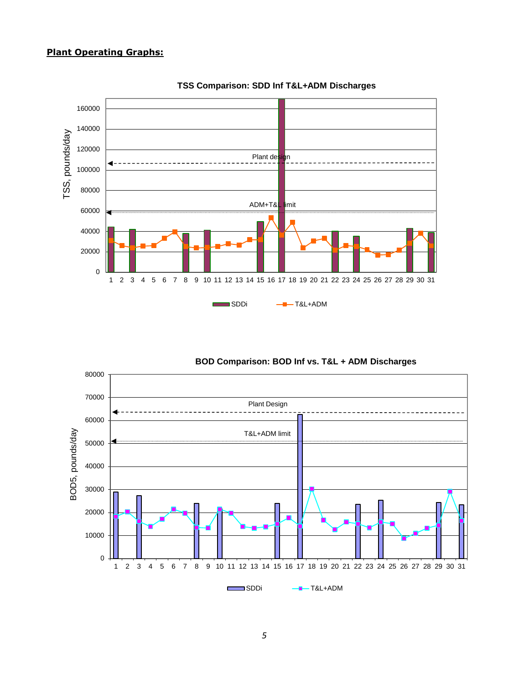### **Plant Operating Graphs:**



**TSS Comparison: SDD Inf T&L+ADM Discharges**

**BOD Comparison: BOD Inf vs. T&L + ADM Discharges**

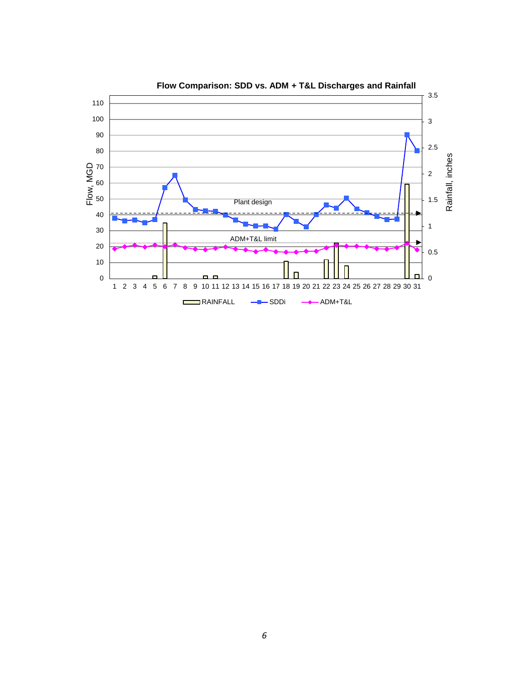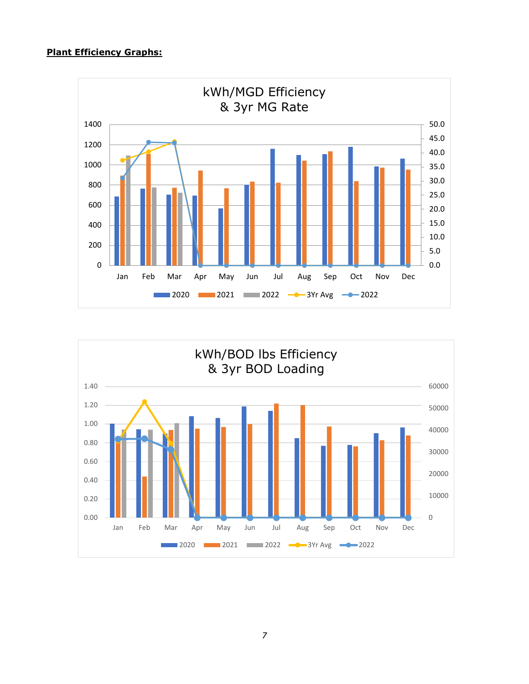## **Plant Efficiency Graphs:**